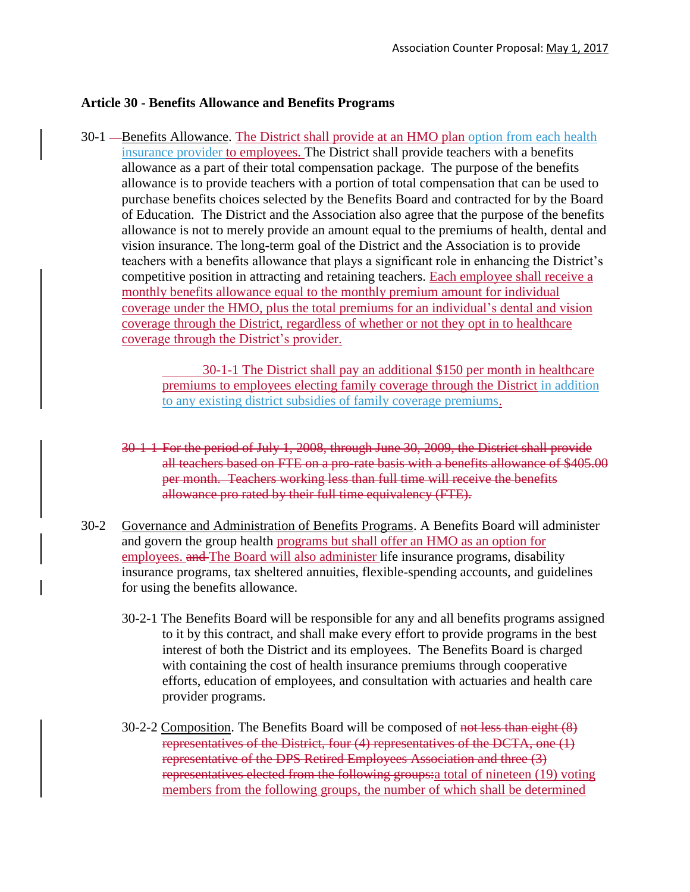## **Article 30 - Benefits Allowance and Benefits Programs**

30-1 — Benefits Allowance. The District shall provide at an HMO plan option from each health insurance provider to employees. The District shall provide teachers with a benefits allowance as a part of their total compensation package. The purpose of the benefits allowance is to provide teachers with a portion of total compensation that can be used to purchase benefits choices selected by the Benefits Board and contracted for by the Board of Education. The District and the Association also agree that the purpose of the benefits allowance is not to merely provide an amount equal to the premiums of health, dental and vision insurance. The long-term goal of the District and the Association is to provide teachers with a benefits allowance that plays a significant role in enhancing the District's competitive position in attracting and retaining teachers. Each employee shall receive a monthly benefits allowance equal to the monthly premium amount for individual coverage under the HMO, plus the total premiums for an individual's dental and vision coverage through the District, regardless of whether or not they opt in to healthcare coverage through the District's provider.

> 30-1-1 The District shall pay an additional \$150 per month in healthcare premiums to employees electing family coverage through the District in addition to any existing district subsidies of family coverage premiums.

- 30-1-1 For the period of July 1, 2008, through June 30, 2009, the District shall provide all teachers based on FTE on a pro-rate basis with a benefits allowance of \$405.00 per month. Teachers working less than full time will receive the benefits allowance pro rated by their full time equivalency (FTE).
- 30-2 Governance and Administration of Benefits Programs. A Benefits Board will administer and govern the group health programs but shall offer an HMO as an option for employees. and The Board will also administer life insurance programs, disability insurance programs, tax sheltered annuities, flexible-spending accounts, and guidelines for using the benefits allowance.
	- 30-2-1 The Benefits Board will be responsible for any and all benefits programs assigned to it by this contract, and shall make every effort to provide programs in the best interest of both the District and its employees. The Benefits Board is charged with containing the cost of health insurance premiums through cooperative efforts, education of employees, and consultation with actuaries and health care provider programs.
	- 30-2-2 Composition. The Benefits Board will be composed of not less than eight (8) representatives of the District, four (4) representatives of the DCTA, one (1) representative of the DPS Retired Employees Association and three (3) representatives elected from the following groups: a total of nineteen (19) voting members from the following groups, the number of which shall be determined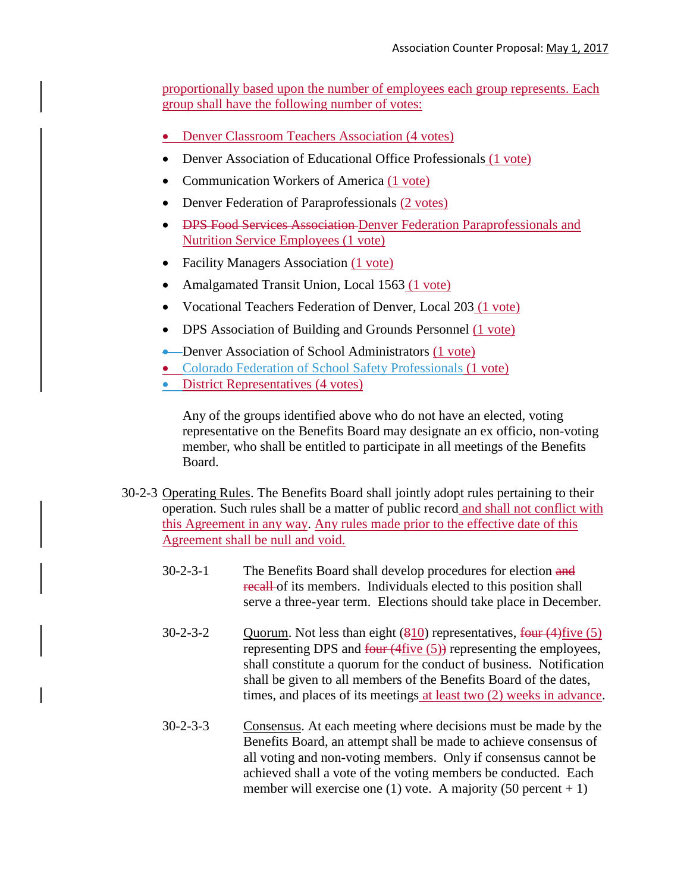proportionally based upon the number of employees each group represents. Each group shall have the following number of votes:

- Denver Classroom Teachers Association (4 votes)
- Denver Association of Educational Office Professionals (1 vote)
- Communication Workers of America (1 vote)
- Denver Federation of Paraprofessionals (2 votes)
- DPS Food Services Association Denver Federation Paraprofessionals and Nutrition Service Employees (1 vote)
- Facility Managers Association (1 vote)
- Amalgamated Transit Union, Local 1563 (1 vote)
- Vocational Teachers Federation of Denver, Local 203 (1 vote)
- DPS Association of Building and Grounds Personnel (1 vote)
- **•** Denver Association of School Administrators (1 vote)
- Colorado Federation of School Safety Professionals (1 vote)
- District Representatives (4 votes)

Any of the groups identified above who do not have an elected, voting representative on the Benefits Board may designate an ex officio, non-voting member, who shall be entitled to participate in all meetings of the Benefits Board.

- 30-2-3 Operating Rules. The Benefits Board shall jointly adopt rules pertaining to their operation. Such rules shall be a matter of public record and shall not conflict with this Agreement in any way. Any rules made prior to the effective date of this Agreement shall be null and void.
	- 30-2-3-1 The Benefits Board shall develop procedures for election and recall of its members. Individuals elected to this position shall serve a three-year term. Elections should take place in December.
	- $30-2-3-2$  Quorum. Not less than eight  $(810)$  representatives, four  $(4)$  five  $(5)$ representing DPS and  $f_{\text{out}}(4f_{\text{live}}(5))$  representing the employees, shall constitute a quorum for the conduct of business. Notification shall be given to all members of the Benefits Board of the dates, times, and places of its meetings at least two (2) weeks in advance.
	- 30-2-3-3 Consensus. At each meeting where decisions must be made by the Benefits Board, an attempt shall be made to achieve consensus of all voting and non-voting members. Only if consensus cannot be achieved shall a vote of the voting members be conducted. Each member will exercise one (1) vote. A majority (50 percent  $+ 1$ )